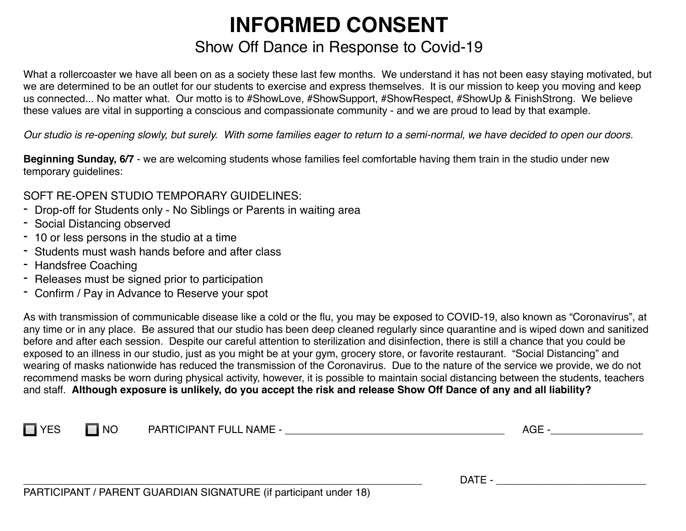## **INFORMED CONSENT** Show Off Dance in Response to Covid-19

What a rollercoaster we have all been on as a society these last few months. We understand it has not been easy staying motivated, but we are determined to be an outlet for our students to exercise and express themselves. It is our mission to keep you moving and keep us connected... No matter what. Our motto is to #ShowLove, #ShowSupport, #ShowRespect, #ShowUp & FinishStrong. We believe these values are vital in supporting a conscious and compassionate community - and we are proud to lead by that example.

*Our studio is re-opening slowly, but surely. With some families eager to return to a semi-normal, we have decided to open our doors.*

**Beginning Sunday, 6/7** - we are welcoming students whose families feel comfortable having them train in the studio under new temporary guidelines:

SOFT RE-OPEN STUDIO TEMPORARY GUIDELINES:

- Drop-off for Students only No Siblings or Parents in waiting area
- Social Distancing observed
- 10 or less persons in the studio at a time
- Students must wash hands before and after class
- Handsfree Coaching
- Releases must be signed prior to participation
- Confirm / Pay in Advance to Reserve your spot

As with transmission of communicable disease like a cold or the flu, you may be exposed to COVID-19, also known as "Coronavirus", at any time or in any place. Be assured that our studio has been deep cleaned regularly since quarantine and is wiped down and sanitized before and after each session. Despite our careful attention to sterilization and disinfection, there is still a chance that you could be exposed to an illness in our studio, just as you might be at your gym, grocery store, or favorite restaurant. "Social Distancing" and wearing of masks nationwide has reduced the transmission of the Coronavirus. Due to the nature of the service we provide, we do not recommend masks be worn during physical activity, however, it is possible to maintain social distancing between the students, teachers and staff. **Although exposure is unlikely, do you accept the risk and release Show Off Dance of any and all liability?**

| $\mathbf{v}$ | <b>NO</b> | ------- <del>-</del> -<br>4 II<br>NAME -<br>. م ص<br>HPANT: |  |
|--------------|-----------|-------------------------------------------------------------|--|
|              |           |                                                             |  |
|              |           |                                                             |  |

\_\_\_\_\_\_\_\_\_\_\_\_\_\_\_\_\_\_\_\_\_\_\_\_\_\_\_\_\_\_\_\_\_\_\_\_\_\_\_\_\_\_\_\_\_\_\_\_\_\_\_\_\_\_\_\_\_\_\_\_\_\_\_\_\_\_\_\_\_ DATE - \_\_\_\_\_\_\_\_\_\_\_\_\_\_\_\_\_\_\_\_\_\_\_\_\_\_